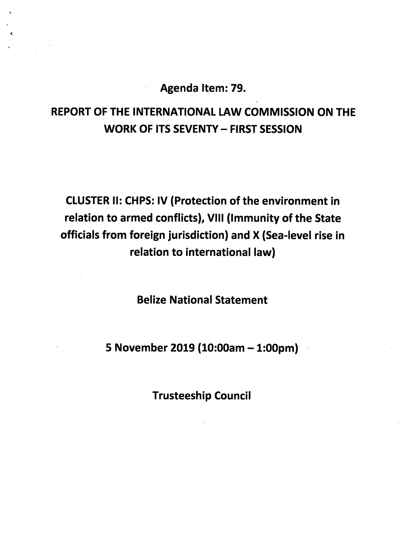Agenda Item: 79.

## REPORT OF THE INTERNATIONAL LAW COMMISSION ON THE WORK OF ITS SEVENTY - FIRST SESSION

CLUSTER II: CHPS: IV (Protection of the environment in relation to armed conflicts), Vili (Immunity of the State officials from foreign jurisdiction) and X (Sea-level rise in relation to international law)

Belize National Statement

5 November 2019 (10:00am - 1:00pm)

Trusteeship Council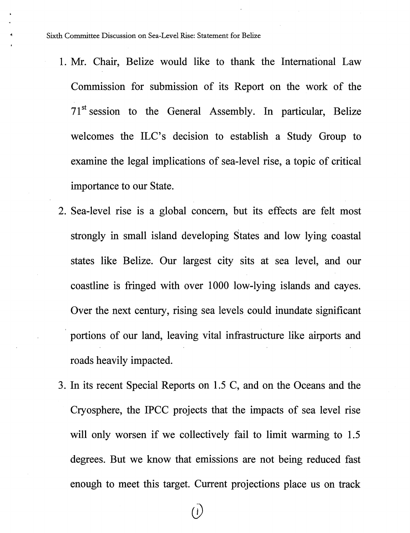- 1. Mr. Chair, Belize would like to thank the International Law Commission for submission of its Report on the work of the  $71<sup>st</sup>$  session to the General Assembly. In particular, Belize welcomes the ILC's decision to establish a Study Group to examine the legal implications of sea-level rise, a topic of critical importance to our State.
- 2. Sea-level rise is a global concern, but its effects are felt most strongly in small island developing States and low lying coastal states like Belize. Our largest city sits at sea level, and our coastline is fringed with over 1000 low-lying islands and cayes. Over the next century, rising sea levels could inundate significant portions of our land, leaving vital infrastructure like airports and roads heavily impacted.
- 3. In its recent Special Reports on 1.5 C, and on the Oceans and the Cryosphere, the IPCC projects that the impacts of sea level rise will only worsen if we collectively fail to limit warming to 1.5 degrees. But we know that emissions are not being reduced fast enough to meet this target. Current projections place us on track

 $\overline{(\overline{)}\ \overline{)}$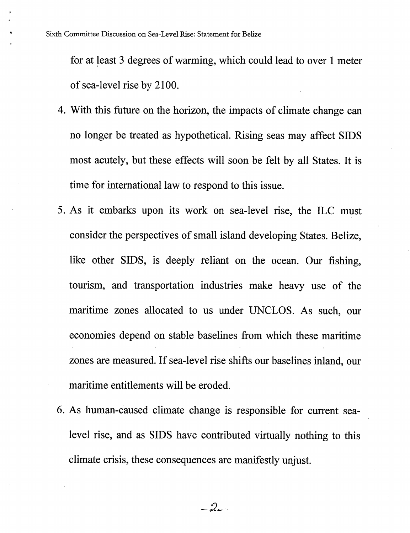for at least 3 degrees of warming, which could lead to over 1 meter of sea-level rise by 2100.

- 4. With this future on the horizon, the impacts of climate change can no longer be treated as hypothetical. Rising seas may affect SIDS most acutely, but these effects will soon be felt by all States. It is time for international law to respond to this issue.
- 5. As it embarks upon its work on sea-level rise, the ILC must consider the perspectives of small island developing States. Belize, like other SIDS, is deeply reliant on the ocean. Our fishing, tourism, and transportation industries make heavy use of the maritime zones allocated to us under UNCLOS. As such, our economies depend on stable baselines from which these maritime zones are measured. If sea-level rise shifts our baselines inland, our maritime entitlements will be eroded.
- 6. As human-caused climate change is responsible for current sealevel rise, and as SIDS have contributed virtually nothing to this climate crisis, these consequences are manifestly unjust.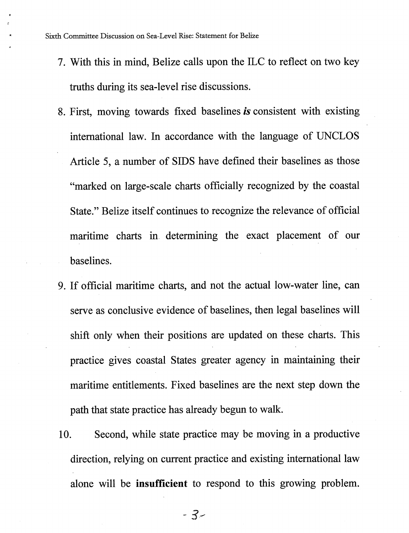Sixth Committee Discussion on Sea-Level Rise: Statement for Belize

- 7. With this in mind, Belize calls upon the ILC to reflect on two key truths during its sea-level rise discussions.
- 8. First, moving towards fixed baselines is consistent with existing international law. In accordance with the language of UNCLOS Article 5, a number of SIDS have defined their baselines as those "marked on large-scale charts officially recognized by the coastal State." Belize itself continues to recognize the relevance of official maritime charts in determining the exact placement of our baselines.
- 9. If official maritime charts, and not the actual low-water line, can serve as conclusive evidence of baselines, then legal baselines will shift only when their positions are updated on these charts. This practice gives coastal States greater agency in maintaining their maritime entitlements. Fixed baselines are the next step down the path that state practice has already begun to walk.
- 10. Second, while state practice may be moving in a productive direction, relying on current practice and existing international law alone will be insufficient to respond to this growing problem.

- 3--